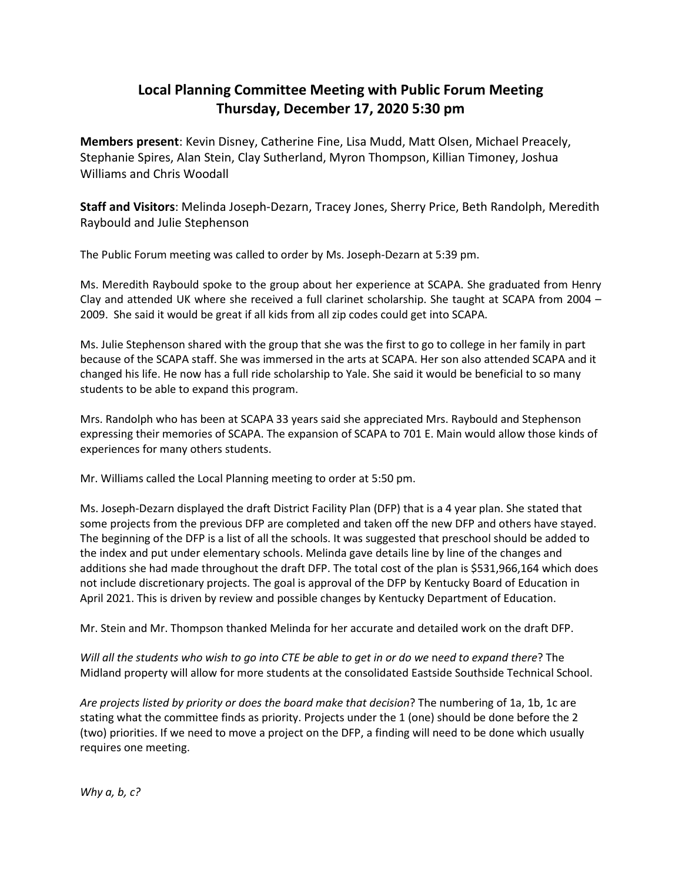## **Local Planning Committee Meeting with Public Forum Meeting Thursday, December 17, 2020 5:30 pm**

**Members present**: Kevin Disney, Catherine Fine, Lisa Mudd, Matt Olsen, Michael Preacely, Stephanie Spires, Alan Stein, Clay Sutherland, Myron Thompson, Killian Timoney, Joshua Williams and Chris Woodall

**Staff and Visitors**: Melinda Joseph-Dezarn, Tracey Jones, Sherry Price, Beth Randolph, Meredith Raybould and Julie Stephenson

The Public Forum meeting was called to order by Ms. Joseph-Dezarn at 5:39 pm.

Ms. Meredith Raybould spoke to the group about her experience at SCAPA. She graduated from Henry Clay and attended UK where she received a full clarinet scholarship. She taught at SCAPA from 2004 – 2009. She said it would be great if all kids from all zip codes could get into SCAPA.

Ms. Julie Stephenson shared with the group that she was the first to go to college in her family in part because of the SCAPA staff. She was immersed in the arts at SCAPA. Her son also attended SCAPA and it changed his life. He now has a full ride scholarship to Yale. She said it would be beneficial to so many students to be able to expand this program.

Mrs. Randolph who has been at SCAPA 33 years said she appreciated Mrs. Raybould and Stephenson expressing their memories of SCAPA. The expansion of SCAPA to 701 E. Main would allow those kinds of experiences for many others students.

Mr. Williams called the Local Planning meeting to order at 5:50 pm.

Ms. Joseph-Dezarn displayed the draft District Facility Plan (DFP) that is a 4 year plan. She stated that some projects from the previous DFP are completed and taken off the new DFP and others have stayed. The beginning of the DFP is a list of all the schools. It was suggested that preschool should be added to the index and put under elementary schools. Melinda gave details line by line of the changes and additions she had made throughout the draft DFP. The total cost of the plan is \$531,966,164 which does not include discretionary projects. The goal is approval of the DFP by Kentucky Board of Education in April 2021. This is driven by review and possible changes by Kentucky Department of Education.

Mr. Stein and Mr. Thompson thanked Melinda for her accurate and detailed work on the draft DFP.

*Will all the students who wish to go into CTE be able to get in or do we* n*eed to expand there*? The Midland property will allow for more students at the consolidated Eastside Southside Technical School.

*Are projects listed by priority or does the board make that decision*? The numbering of 1a, 1b, 1c are stating what the committee finds as priority. Projects under the 1 (one) should be done before the 2 (two) priorities. If we need to move a project on the DFP, a finding will need to be done which usually requires one meeting.

*Why a, b, c?*